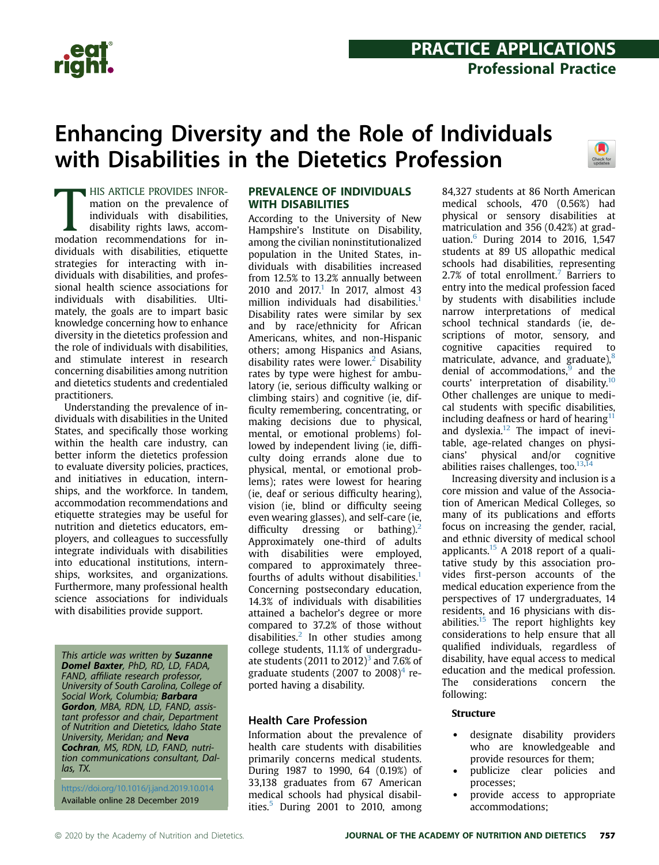

## Enhancing Diversity and the Role of Individuals with Disabilities in the Dietetics Profession



HIS ARTICLE PROVIDES INFOR-<br>mation on the prevalence of<br>individuals with disabilities,<br>disability rights laws, accom-<br>modation recommendations for in-**HIS ARTICLE PROVIDES INFOR**mation on the prevalence of individuals with disabilities, disability rights laws, accomdividuals with disabilities, etiquette strategies for interacting with individuals with disabilities, and professional health science associations for individuals with disabilities. Ultimately, the goals are to impart basic knowledge concerning how to enhance diversity in the dietetics profession and the role of individuals with disabilities, and stimulate interest in research concerning disabilities among nutrition and dietetics students and credentialed practitioners.

Understanding the prevalence of individuals with disabilities in the United States, and specifically those working within the health care industry, can better inform the dietetics profession to evaluate diversity policies, practices, and initiatives in education, internships, and the workforce. In tandem, accommodation recommendations and etiquette strategies may be useful for nutrition and dietetics educators, employers, and colleagues to successfully integrate individuals with disabilities into educational institutions, internships, worksites, and organizations. Furthermore, many professional health science associations for individuals with disabilities provide support.

This article was written by Suzanne Domel Baxter, PhD, RD, LD, FADA, FAND, affiliate research professor, University of South Carolina, College of Social Work, Columbia; Barbara Gordon, MBA, RDN, LD, FAND, assistant professor and chair, Department of Nutrition and Dietetics, Idaho State University, Meridan; and **Neva** Cochran, MS, RDN, LD, FAND, nutrition communications consultant, Dal- $\ln s$ , TX.

<https://doi.org/10.1016/j.jand.2019.10.014> Available online 28 December 2019

#### PREVALENCE OF INDIVIDUALS **WITH DISABILITIES**

**According to the University of New** Hampshire's Institute on Disability, among the civilian noninstitutionalized population in the United States, individuals with disabilities increased from 12.5% to 13.2% annually between 20[1](#page-6-0)0 and  $2017$ .<sup>1</sup> In 2017, almost 43 million individuals had disabilities.<sup>1</sup> Disability rates were similar by sex and by race/ethnicity for African Americans, whites, and non-Hispanic others; among Hispanics and Asians, disability rates were lower.<sup>2</sup> Disability rates by type were highest for ambulatory (ie, serious difficulty walking or climbing stairs) and cognitive (ie, difficulty remembering, concentrating, or making decisions due to physical, mental, or emotional problems) followed by independent living (ie, difficulty doing errands alone due to physical, mental, or emotional problems); rates were lowest for hearing (ie, deaf or serious difficulty hearing), vision (ie, blind or difficulty seeing even wearing glasses), and self-care (ie, difficulty dressing or bathing).<sup>[2](#page-6-1)</sup> Approximately one-third of adults with disabilities were employed, compared to approximately threefourths of adults without disabilities.<sup>1</sup> Concerning postsecondary education, 14.3% of individuals with disabilities attained a bachelor's degree or more compared to 37.2% of those without disabilities. $2$  In other studies among college students, 11.1% of undergraduate students (2011 to  $2012$ )<sup>[3](#page-6-2)</sup> and 7.6% of graduate students (2007 to 2008)<sup>[4](#page-6-3)</sup> reported having a disability.

#### Health Care Profession

Information about the prevalence of health care students with disabilities primarily concerns medical students. During 1987 to 1990, 64 (0.19%) of 33,138 graduates from 67 American medical schools had physical disabilities. $5$  During 2001 to 2010, among 84,327 students at 86 North American medical schools, 470 (0.56%) had physical or sensory disabilities at matriculation and 356 (0.42%) at graduation.[6](#page-6-5) During 2014 to 2016, 1,547 students at 89 US allopathic medical schools had disabilities, representing 2[.7](#page-7-0)% of total enrollment.<sup>7</sup> Barriers to entry into the medical profession faced by students with disabilities include narrow interpretations of medical school technical standards (ie, descriptions of motor, sensory, and cognitive capacities required to matriculate, advance, and graduate), $8$ denial of accommodations, $9$  and the courts' interpretation of disability.[10](#page-7-3) Other challenges are unique to medical students with specific disabilities, including deafness or hard of hearing $<sup>11</sup>$  $<sup>11</sup>$  $<sup>11</sup>$ </sup> and dyslexia.<sup>[12](#page-7-5)</sup> The impact of inevitable, age-related changes on physicians' physical and/or cognitive abilities raises challenges, too. $13,14$  $13,14$ 

Increasing diversity and inclusion is a core mission and value of the Association of American Medical Colleges, so many of its publications and efforts focus on increasing the gender, racial, and ethnic diversity of medical school applicants. $15$  A 2018 report of a qualitative study by this association provides first-person accounts of the medical education experience from the perspectives of 17 undergraduates, 14 residents, and 16 physicians with disabilities. $15$  The report highlights key considerations to help ensure that all qualified individuals, regardless of disability, have equal access to medical education and the medical profession. The considerations concern the following:

#### Structure

- designate disability providers who are knowledgeable and provide resources for them;
- publicize clear policies and processes;
- provide access to appropriate accommodations;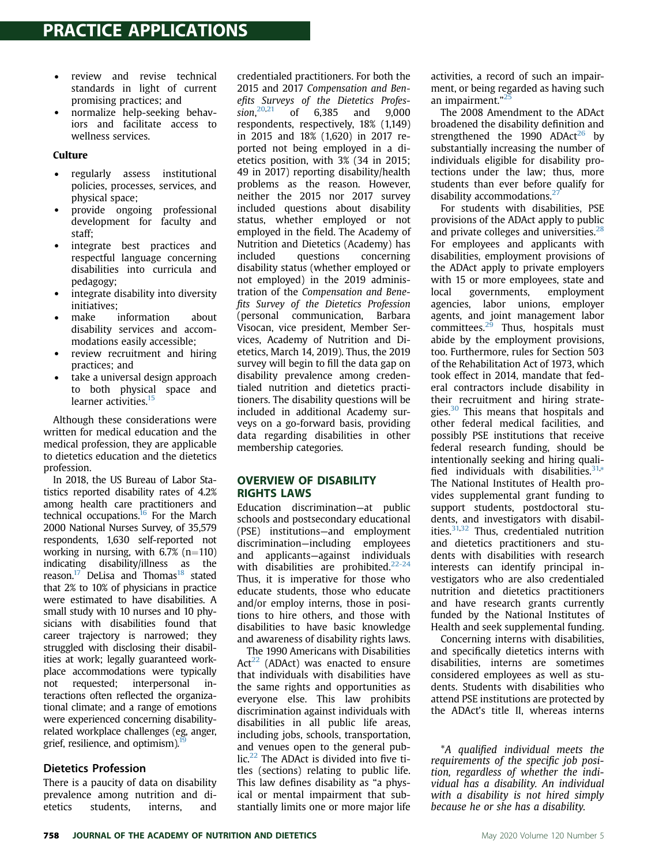- review and revise technical standards in light of current promising practices; and
- normalize help-seeking behaviors and facilitate access to wellness services.

#### Culture

- regularly assess institutional policies, processes, services, and physical space;
- provide ongoing professional development for faculty and staff;
- integrate best practices and respectful language concerning disabilities into curricula and pedagogy;
- integrate disability into diversity initiatives;
- make information about disability services and accommodations easily accessible;
- review recruitment and hiring practices; and
- take a universal design approach to both physical space and learner activities.<sup>15</sup>

Although these considerations were written for medical education and the medical profession, they are applicable to dietetics education and the dietetics profession.

In 2018, the US Bureau of Labor Statistics reported disability rates of 4.2% among health care practitioners and technical occupations. $16$  For the March 2000 National Nurses Survey, of 35,579 respondents, 1,630 self-reported not working in nursing, with  $6.7\%$  (n=110) indicating disability/illness as the reason. $17$  DeLisa and Thomas<sup>[18](#page-7-11)</sup> stated that 2% to 10% of physicians in practice were estimated to have disabilities. A small study with 10 nurses and 10 physicians with disabilities found that career trajectory is narrowed; they struggled with disclosing their disabilities at work; legally guaranteed workplace accommodations were typically not requested; interpersonal interactions often reflected the organizational climate; and a range of emotions were experienced concerning disabilityrelated workplace challenges (eg, anger, grief, resilience, and optimism).

#### Dietetics Profession

There is a paucity of data on disability prevalence among nutrition and dietetics students, interns, and

credentialed practitioners. For both the 2015 and 2017 Compensation and Benefits Surveys of the Dietetics Profession. $20,21$ of 6,385 and 9,000 respondents, respectively, 18% (1,149) in 2015 and 18% (1,620) in 2017 reported not being employed in a dietetics position, with 3% (34 in 2015; 49 in 2017) reporting disability/health problems as the reason. However, neither the 2015 nor 2017 survey included questions about disability status, whether employed or not employed in the field. The Academy of Nutrition and Dietetics (Academy) has included questions concerning disability status (whether employed or not employed) in the 2019 administration of the Compensation and Benefits Survey of the Dietetics Profession (personal communication, Barbara Visocan, vice president, Member Services, Academy of Nutrition and Dietetics, March 14, 2019). Thus, the 2019 survey will begin to fill the data gap on disability prevalence among credentialed nutrition and dietetics practitioners. The disability questions will be included in additional Academy surveys on a go-forward basis, providing data regarding disabilities in other membership categories.

### OVERVIEW OF DISABILITY

enconsidation<br>Education discrimination—at public schools and postsecondary educational (PSE) institutions—and employment discrimination—including employees and applicants—against individuals with disabilities are prohibited. $22-24$ Thus, it is imperative for those who educate students, those who educate and/or employ interns, those in positions to hire others, and those with disabilities to have basic knowledge and awareness of disability rights laws.

The 1990 Americans with Disabilities  $Act^{22}$  $Act^{22}$  $Act^{22}$  (ADAct) was enacted to ensure that individuals with disabilities have the same rights and opportunities as everyone else. This law prohibits discrimination against individuals with disabilities in all public life areas, including jobs, schools, transportation, and venues open to the general public. $22$  The ADAct is divided into five titles (sections) relating to public life. This law defines disability as "a physical or mental impairment that substantially limits one or more major life

activities, a record of such an impairment, or being regarded as having such an impairment."<sup>[25](#page-7-16)</sup>

The 2008 Amendment to the ADAct broadened the disability definition and strengthened the 1990 ADAct<sup>[26](#page-7-17)</sup> by substantially increasing the number of individuals eligible for disability protections under the law; thus, more students than ever before qualify for disability accommodations.<sup>2</sup>

For students with disabilities, PSE provisions of the ADAct apply to public and private colleges and universities. $28$ For employees and applicants with disabilities, employment provisions of the ADAct apply to private employers with 15 or more employees, state and local governments, employment agencies, labor unions, employer agents, and joint management labor  $committees.<sup>25</sup>$  Thus, hospitals must abide by the employment provisions, too. Furthermore, rules for Section 503 of the Rehabilitation Act of 1973, which took effect in 2014, mandate that federal contractors include disability in their recruitment and hiring strate-gies.<sup>[30](#page-7-21)</sup> This means that hospitals and other federal medical facilities, and possibly PSE institutions that receive federal research funding, should be intentionally seeking and hiring quali-fied individuals with disabilities.<sup>[31,](#page-7-22)[\\*](#page-1-0)</sup> The National Institutes of Health provides supplemental grant funding to support students, postdoctoral students, and investigators with disabilities. $31,32$  $31,32$  Thus, credentialed nutrition and dietetics practitioners and students with disabilities with research interests can identify principal investigators who are also credentialed nutrition and dietetics practitioners and have research grants currently funded by the National Institutes of Health and seek supplemental funding.

Concerning interns with disabilities, and specifically dietetics interns with disabilities, interns are sometimes considered employees as well as students. Students with disabilities who attend PSE institutions are protected by the ADAct's title II, whereas interns

<span id="page-1-0"></span>\*A qualified individual meets the requirements of the specific job position, regardless of whether the individual has a disability. An individual with a disability is not hired simply because he or she has a disability.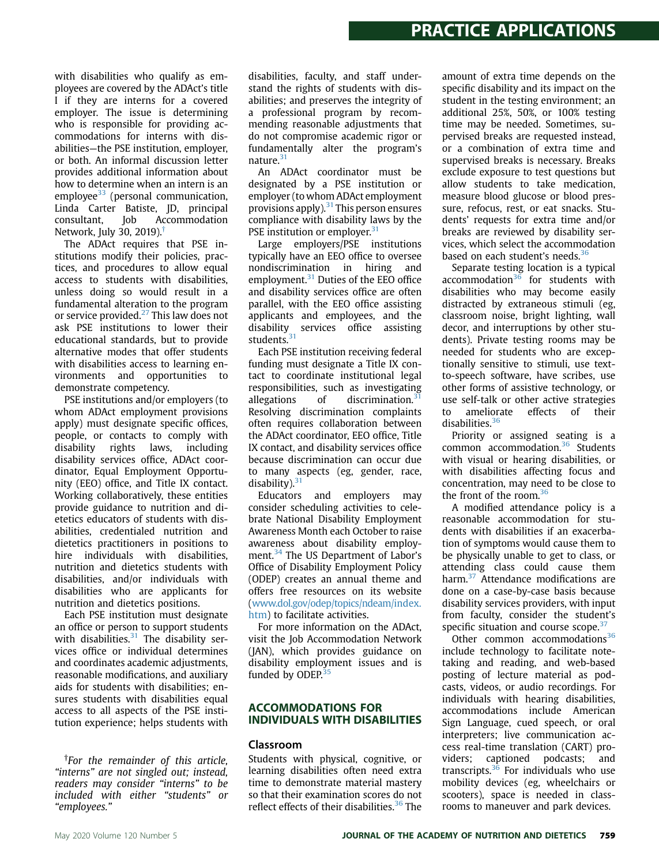with disabilities who qualify as employees are covered by the ADAct's title I if they are interns for a covered employer. The issue is determining who is responsible for providing accommodations for interns with disabilities—the PSE institution, employer, or both. An informal discussion letter provides additional information about how to determine when an intern is an employee<sup>33</sup> (personal communication, Linda Carter Batiste, JD, principal consultant, Job Accommodation Network, July 30, 2019).[†](#page-2-0)

The ADAct requires that PSE institutions modify their policies, practices, and procedures to allow equal access to students with disabilities, unless doing so would result in a fundamental alteration to the program or service provided.<sup>[27](#page-7-18)</sup> This law does not ask PSE institutions to lower their educational standards, but to provide alternative modes that offer students with disabilities access to learning environments and opportunities to demonstrate competency.

PSE institutions and/or employers (to whom ADAct employment provisions apply) must designate specific offices, people, or contacts to comply with disability rights laws, including disability services office, ADAct coordinator, Equal Employment Opportunity (EEO) office, and Title IX contact. Working collaboratively, these entities provide guidance to nutrition and dietetics educators of students with disabilities, credentialed nutrition and dietetics practitioners in positions to hire individuals with disabilities, nutrition and dietetics students with disabilities, and/or individuals with disabilities who are applicants for nutrition and dietetics positions.

Each PSE institution must designate an office or person to support students with disabilities. $31$  The disability services office or individual determines and coordinates academic adjustments, reasonable modifications, and auxiliary aids for students with disabilities; ensures students with disabilities equal access to all aspects of the PSE institution experience; helps students with

<span id="page-2-0"></span>† For the remainder of this article, "interns" are not singled out; instead, readers may consider "interns" to be included with either "students" or "employees."

disabilities, faculty, and staff understand the rights of students with disabilities; and preserves the integrity of a professional program by recommending reasonable adjustments that do not compromise academic rigor or fundamentally alter the program's nature.<sup>31</sup>

An ADAct coordinator must be designated by a PSE institution or employer (to whom ADAct employment provisions apply).<sup>[31](#page-7-22)</sup> This person ensures compliance with disability laws by the PSE institution or employer.<sup>[31](#page-7-22)</sup>

Large employers/PSE institutions typically have an EEO office to oversee nondiscrimination in hiring and employment.<sup>31</sup> Duties of the EEO office and disability services office are often parallel, with the EEO office assisting applicants and employees, and the disability services office assisting students.<sup>[31](#page-7-22)</sup>

Each PSE institution receiving federal funding must designate a Title IX contact to coordinate institutional legal responsibilities, such as investigating allegations of discrimination. $31$ Resolving discrimination complaints often requires collaboration between the ADAct coordinator, EEO office, Title IX contact, and disability services office because discrimination can occur due to many aspects (eg, gender, race, disability). $31$ 

Educators and employers may consider scheduling activities to celebrate National Disability Employment Awareness Month each October to raise awareness about disability employ-ment.<sup>[34](#page-7-25)</sup> The US Department of Labor's Office of Disability Employment Policy (ODEP) creates an annual theme and offers free resources on its website [\(www.dol.gov/odep/topics/ndeam/index.](http://www.dol.gov/odep/topics/ndeam/index.htm) [htm](http://www.dol.gov/odep/topics/ndeam/index.htm)) to facilitate activities.

For more information on the ADAct, visit the Job Accommodation Network (JAN), which provides guidance on disability employment issues and is funded by ODEP. $35$ 

#### **ACCOMMODATIONS FOR** INDIVIDUALS WITH DISABILITIES

#### Classroom

Students with physical, cognitive, or learning disabilities often need extra time to demonstrate material mastery so that their examination scores do not reflect effects of their disabilities.<sup>[36](#page-7-27)</sup> The

amount of extra time depends on the specific disability and its impact on the student in the testing environment; an additional 25%, 50%, or 100% testing time may be needed. Sometimes, supervised breaks are requested instead, or a combination of extra time and supervised breaks is necessary. Breaks exclude exposure to test questions but allow students to take medication, measure blood glucose or blood pressure, refocus, rest, or eat snacks. Students' requests for extra time and/or breaks are reviewed by disability services, which select the accommodation based on each student's needs.<sup>[36](#page-7-27)</sup>

Separate testing location is a typical accommodation<sup>[36](#page-7-27)</sup> for students with disabilities who may become easily distracted by extraneous stimuli (eg, classroom noise, bright lighting, wall decor, and interruptions by other students). Private testing rooms may be needed for students who are exceptionally sensitive to stimuli, use textto-speech software, have scribes, use other forms of assistive technology, or use self-talk or other active strategies to ameliorate effects of their disabilities.<sup>[36](#page-7-27)</sup>

Priority or assigned seating is a common accommodation.<sup>[36](#page-7-27)</sup> Students with visual or hearing disabilities, or with disabilities affecting focus and concentration, may need to be close to the front of the room.<sup>36</sup>

A modified attendance policy is a reasonable accommodation for students with disabilities if an exacerbation of symptoms would cause them to be physically unable to get to class, or attending class could cause them harm.<sup>[37](#page-8-0)</sup> Attendance modifications are done on a case-by-case basis because disability services providers, with input from faculty, consider the student's specific situation and course scope.<sup>[37](#page-8-0)</sup>

Other common accommodations<sup>[36](#page-7-27)</sup> include technology to facilitate notetaking and reading, and web-based posting of lecture material as podcasts, videos, or audio recordings. For individuals with hearing disabilities, accommodations include American Sign Language, cued speech, or oral interpreters; live communication access real-time translation (CART) providers; captioned podcasts; and transcripts. $36$  For individuals who use mobility devices (eg, wheelchairs or scooters), space is needed in classrooms to maneuver and park devices.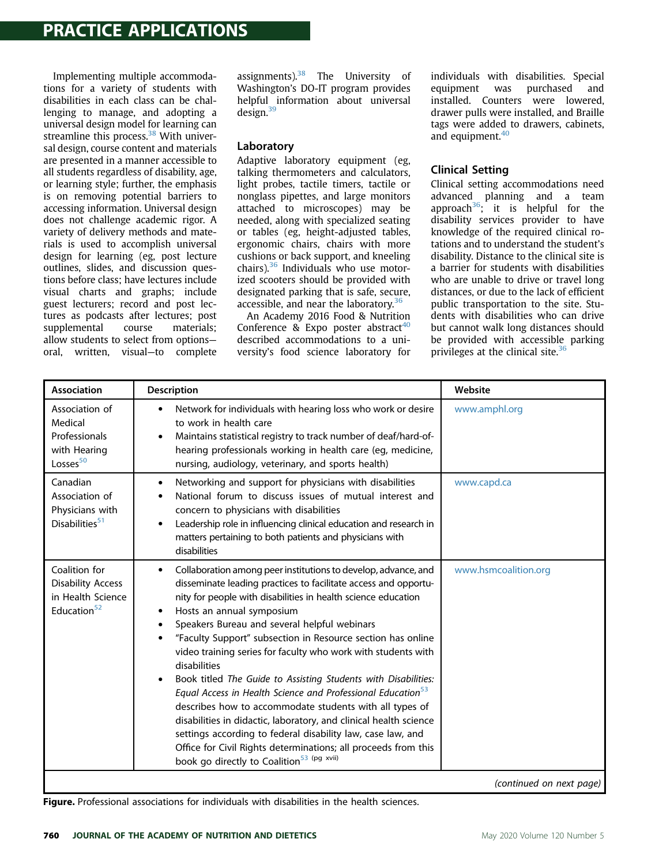### **PRACTICE APPLICATIONS** PRACTICE APPLICATIONS

Implementing multiple accommodations for a variety of students with disabilities in each class can be challenging to manage, and adopting a universal design model for learning can streamline this process.<sup>38</sup> With universal design, course content and materials are presented in a manner accessible to all students regardless of disability, age, or learning style; further, the emphasis is on removing potential barriers to accessing information. Universal design does not challenge academic rigor. A variety of delivery methods and materials is used to accomplish universal design for learning (eg, post lecture outlines, slides, and discussion questions before class; have lectures include visual charts and graphs; include guest lecturers; record and post lectures as podcasts after lectures; post supplemental course materials; allow students to select from options oral, written, visual—to complete

assignments). $38$  The University of Washington's DO-IT program provides helpful information about universal design.<sup>39</sup>

#### Laboratory

Adaptive laboratory equipment (eg, talking thermometers and calculators, light probes, tactile timers, tactile or nonglass pipettes, and large monitors attached to microscopes) may be needed, along with specialized seating or tables (eg, height-adjusted tables, ergonomic chairs, chairs with more cushions or back support, and kneeling chairs). $36$  Individuals who use motorized scooters should be provided with designated parking that is safe, secure, accessible, and near the laboratory. $36$ 

An Academy 2016 Food & Nutrition Conference & Expo poster abstract<sup>[40](#page-8-3)</sup> described accommodations to a university's food science laboratory for individuals with disabilities. Special equipment was purchased and installed. Counters were lowered, drawer pulls were installed, and Braille tags were added to drawers, cabinets, and equipment.<sup>[40](#page-8-3)</sup>

#### Clinical Setting

Clinical setting accommodations need advanced planning and a team approach<sup>36</sup>; it is helpful for the disability services provider to have knowledge of the required clinical rotations and to understand the student's disability. Distance to the clinical site is a barrier for students with disabilities who are unable to drive or travel long distances, or due to the lack of efficient public transportation to the site. Students with disabilities who can drive but cannot walk long distances should be provided with accessible parking privileges at the clinical site.<sup>[36](#page-7-27)</sup>

<span id="page-3-0"></span>

| <b>Association</b>                                                                        | <b>Description</b>                                                                                                                                                                                                                                                                                                                                                                                                                                                                                                                                                                                                                                                                                                                                                                                                                                                                                                                              | Website                  |
|-------------------------------------------------------------------------------------------|-------------------------------------------------------------------------------------------------------------------------------------------------------------------------------------------------------------------------------------------------------------------------------------------------------------------------------------------------------------------------------------------------------------------------------------------------------------------------------------------------------------------------------------------------------------------------------------------------------------------------------------------------------------------------------------------------------------------------------------------------------------------------------------------------------------------------------------------------------------------------------------------------------------------------------------------------|--------------------------|
| Association of<br>Medical<br>Professionals<br>with Hearing<br>Losses <sup>50</sup>        | Network for individuals with hearing loss who work or desire<br>$\bullet$<br>to work in health care<br>Maintains statistical registry to track number of deaf/hard-of-<br>$\bullet$<br>hearing professionals working in health care (eg, medicine,<br>nursing, audiology, veterinary, and sports health)                                                                                                                                                                                                                                                                                                                                                                                                                                                                                                                                                                                                                                        | www.amphl.org            |
| Canadian<br>Association of<br>Physicians with<br>Disabilities <sup>51</sup>               | Networking and support for physicians with disabilities<br>٠<br>National forum to discuss issues of mutual interest and<br>٠<br>concern to physicians with disabilities<br>Leadership role in influencing clinical education and research in<br>$\bullet$<br>matters pertaining to both patients and physicians with<br>disabilities                                                                                                                                                                                                                                                                                                                                                                                                                                                                                                                                                                                                            | www.capd.ca              |
| Coalition for<br><b>Disability Access</b><br>in Health Science<br>Education <sup>52</sup> | Collaboration among peer institutions to develop, advance, and<br>٠<br>disseminate leading practices to facilitate access and opportu-<br>nity for people with disabilities in health science education<br>Hosts an annual symposium<br>$\bullet$<br>Speakers Bureau and several helpful webinars<br>٠<br>"Faculty Support" subsection in Resource section has online<br>٠<br>video training series for faculty who work with students with<br>disabilities<br>Book titled The Guide to Assisting Students with Disabilities:<br>$\bullet$<br>Equal Access in Health Science and Professional Education <sup>53</sup><br>describes how to accommodate students with all types of<br>disabilities in didactic, laboratory, and clinical health science<br>settings according to federal disability law, case law, and<br>Office for Civil Rights determinations; all proceeds from this<br>book go directly to Coalition <sup>53 (pg xvii)</sup> | www.hsmcoalition.org     |
|                                                                                           |                                                                                                                                                                                                                                                                                                                                                                                                                                                                                                                                                                                                                                                                                                                                                                                                                                                                                                                                                 | (continued on next page) |

Figure. Professional associations for individuals with disabilities in the health sciences.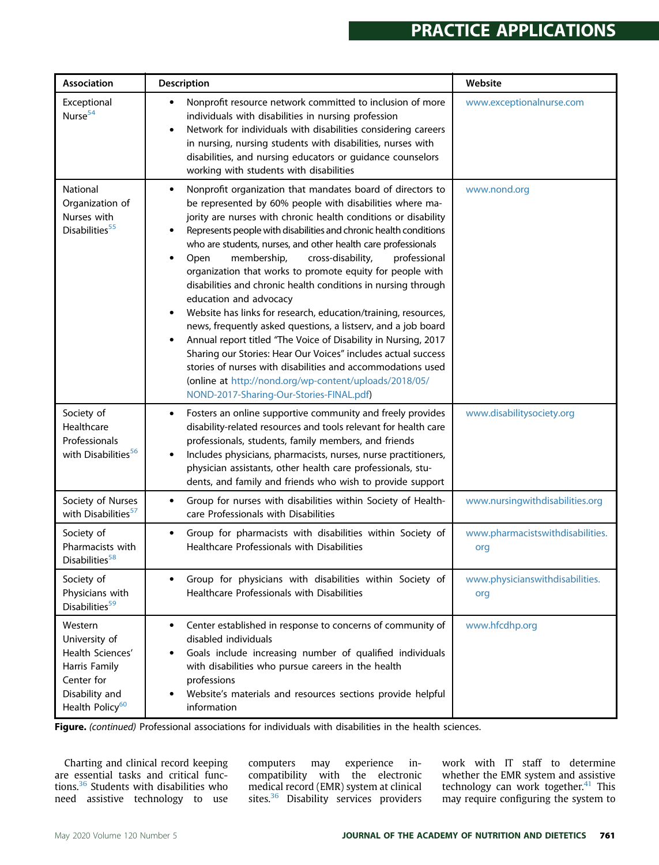### **PRACTICE APPLICATIONS** PRACTICE APPLICATIONS

| Association                                                                                                                  | Description                                                                                                                                                                                                                                                                                                                                                                                                                                                                                                                                                                                                                                                                                                                                                                                                                                                                                                                                                                                                                                                    | Website                                 |
|------------------------------------------------------------------------------------------------------------------------------|----------------------------------------------------------------------------------------------------------------------------------------------------------------------------------------------------------------------------------------------------------------------------------------------------------------------------------------------------------------------------------------------------------------------------------------------------------------------------------------------------------------------------------------------------------------------------------------------------------------------------------------------------------------------------------------------------------------------------------------------------------------------------------------------------------------------------------------------------------------------------------------------------------------------------------------------------------------------------------------------------------------------------------------------------------------|-----------------------------------------|
| Exceptional<br>Nurse <sup>54</sup>                                                                                           | Nonprofit resource network committed to inclusion of more<br>$\bullet$<br>individuals with disabilities in nursing profession<br>Network for individuals with disabilities considering careers<br>$\bullet$<br>in nursing, nursing students with disabilities, nurses with<br>disabilities, and nursing educators or guidance counselors<br>working with students with disabilities                                                                                                                                                                                                                                                                                                                                                                                                                                                                                                                                                                                                                                                                            | www.exceptionalnurse.com                |
| National<br>Organization of<br>Nurses with<br>Disabilities <sup>55</sup>                                                     | Nonprofit organization that mandates board of directors to<br>$\bullet$<br>be represented by 60% people with disabilities where ma-<br>jority are nurses with chronic health conditions or disability<br>Represents people with disabilities and chronic health conditions<br>$\bullet$<br>who are students, nurses, and other health care professionals<br>membership,<br>cross-disability,<br>professional<br>Open<br>$\bullet$<br>organization that works to promote equity for people with<br>disabilities and chronic health conditions in nursing through<br>education and advocacy<br>Website has links for research, education/training, resources,<br>$\bullet$<br>news, frequently asked questions, a listserv, and a job board<br>Annual report titled "The Voice of Disability in Nursing, 2017<br>$\bullet$<br>Sharing our Stories: Hear Our Voices" includes actual success<br>stories of nurses with disabilities and accommodations used<br>(online at http://nond.org/wp-content/uploads/2018/05/<br>NOND-2017-Sharing-Our-Stories-FINAL.pdf) | www.nond.org                            |
| Society of<br>Healthcare<br>Professionals<br>with Disabilities <sup>56</sup>                                                 | Fosters an online supportive community and freely provides<br>$\bullet$<br>disability-related resources and tools relevant for health care<br>professionals, students, family members, and friends<br>Includes physicians, pharmacists, nurses, nurse practitioners,<br>$\bullet$<br>physician assistants, other health care professionals, stu-<br>dents, and family and friends who wish to provide support                                                                                                                                                                                                                                                                                                                                                                                                                                                                                                                                                                                                                                                  | www.disabilitysociety.org               |
| Society of Nurses<br>with Disabilities <sup>57</sup>                                                                         | Group for nurses with disabilities within Society of Health-<br>$\bullet$<br>care Professionals with Disabilities                                                                                                                                                                                                                                                                                                                                                                                                                                                                                                                                                                                                                                                                                                                                                                                                                                                                                                                                              | www.nursingwithdisabilities.org         |
| Society of<br>Pharmacists with<br>Disabilities <sup>58</sup>                                                                 | Group for pharmacists with disabilities within Society of<br>$\bullet$<br>Healthcare Professionals with Disabilities                                                                                                                                                                                                                                                                                                                                                                                                                                                                                                                                                                                                                                                                                                                                                                                                                                                                                                                                           | www.pharmacistswithdisabilities.<br>org |
| Society of<br>Physicians with<br>Disabilities <sup>59</sup>                                                                  | Group for physicians with disabilities within Society of<br>$\bullet$<br>Healthcare Professionals with Disabilities                                                                                                                                                                                                                                                                                                                                                                                                                                                                                                                                                                                                                                                                                                                                                                                                                                                                                                                                            | www.physicianswithdisabilities.<br>org  |
| Western<br>University of<br>Health Sciences'<br>Harris Family<br>Center for<br>Disability and<br>Health Policy <sup>60</sup> | Center established in response to concerns of community of<br>$\bullet$<br>disabled individuals<br>Goals include increasing number of qualified individuals<br>$\bullet$<br>with disabilities who pursue careers in the health<br>professions<br>Website's materials and resources sections provide helpful<br>$\bullet$<br>information                                                                                                                                                                                                                                                                                                                                                                                                                                                                                                                                                                                                                                                                                                                        | www.hfcdhp.org                          |

Figure. (continued) Professional associations for individuals with disabilities in the health sciences.

Charting and clinical record keeping are essential tasks and critical functions.[36](#page-7-27) Students with disabilities who need assistive technology to use

computers may experience incompatibility with the electronic medical record (EMR) system at clinical sites.<sup>36</sup> Disability services providers

work with IT staff to determine whether the EMR system and assistive technology can work together.<sup>41</sup> This may require configuring the system to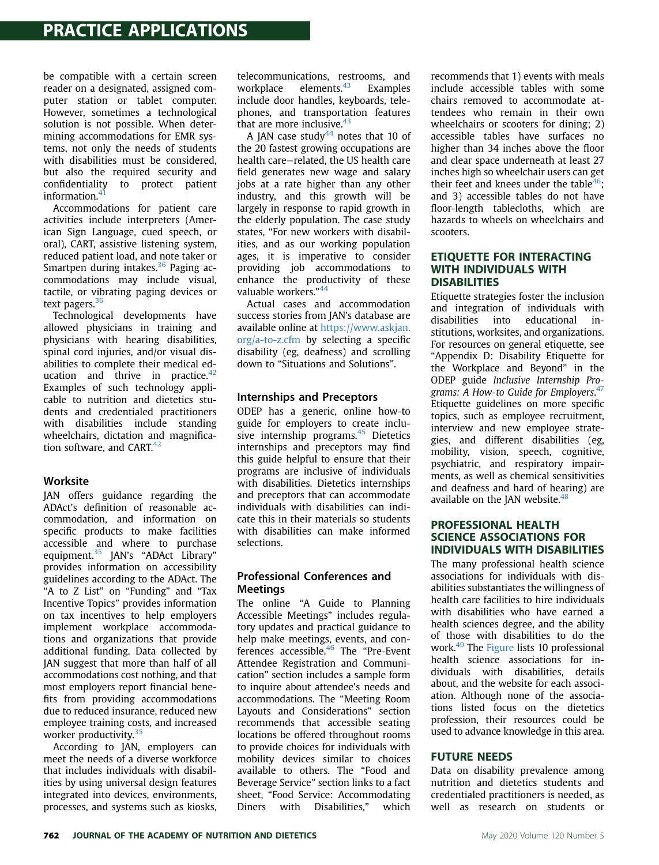be compatible with a certain screen reader on a designated, assigned computer station or tablet computer. However, sometimes a technological solution is not possible. When determining accommodations for EMR systems, not only the needs of students with disabilities must be considered, but also the required security and confidentiality to protect patient information.<sup>4</sup>

Accommodations for patient care activities include interpreters (American Sign Language, cued speech, or oral), CART, assistive listening system, reduced patient load, and note taker or Smartpen during intakes. $36$  Paging accommodations may include visual, tactile, or vibrating paging devices or text pagers.<sup>36</sup>

Technological developments have allowed physicians in training and physicians with hearing disabilities, spinal cord injuries, and/or visual disabilities to complete their medical education and thrive in practice. $42$ Examples of such technology applicable to nutrition and dietetics students and credentialed practitioners with disabilities include standing wheelchairs, dictation and magnification software, and CART. $42$ 

#### Worksite

JAN offers guidance regarding the ADAct's definition of reasonable accommodation, and information on specific products to make facilities accessible and where to purchase equipment.<sup>[35](#page-7-26)</sup> JAN's "ADAct Library" provides information on accessibility guidelines according to the ADAct. The "A to Z List" on "Funding" and "Tax Incentive Topics" provides information on tax incentives to help employers implement workplace accommodations and organizations that provide additional funding. Data collected by JAN suggest that more than half of all accommodations cost nothing, and that most employers report financial benefits from providing accommodations due to reduced insurance, reduced new employee training costs, and increased worker productivity.<sup>[35](#page-7-26)</sup>

According to JAN, employers can meet the needs of a diverse workforce that includes individuals with disabilities by using universal design features integrated into devices, environments, processes, and systems such as kiosks, telecommunications, restrooms, and workplace elements.<sup>[43](#page-8-17)</sup> Examples include door handles, keyboards, telephones, and transportation features that are more inclusive. $43$ 

A JAN case study<sup>[44](#page-8-18)</sup> notes that 10 of the 20 fastest growing occupations are health care-related, the US health care field generates new wage and salary jobs at a rate higher than any other industry, and this growth will be largely in response to rapid growth in the elderly population. The case study states, "For new workers with disabilities, and as our working population ages, it is imperative to consider providing job accommodations to enhance the productivity of these valuable workers." [44](#page-8-18)

Actual cases and accommodation success stories from JAN's database are available online at [https://www.askjan.](https://www.askjan.org/a-to-z.cfm) [org/a-to-z.cfm](https://www.askjan.org/a-to-z.cfm) by selecting a specific disability (eg, deafness) and scrolling down to "Situations and Solutions".

#### Internships and Preceptors

ODEP has a generic, online how-to guide for employers to create inclusive internship programs. $45$  Dietetics internships and preceptors may find this guide helpful to ensure that their programs are inclusive of individuals with disabilities. Dietetics internships and preceptors that can accommodate individuals with disabilities can indicate this in their materials so students with disabilities can make informed selections.

#### Professional Conferences and Meetings

The online "A Guide to Planning Accessible Meetings" includes regulatory updates and practical guidance to help make meetings, events, and conferences accessible.[46](#page-8-20) The "Pre-Event Attendee Registration and Communication" section includes a sample form to inquire about attendee's needs and accommodations. The "Meeting Room Layouts and Considerations" section recommends that accessible seating locations be offered throughout rooms to provide choices for individuals with mobility devices similar to choices available to others. The "Food and Beverage Service" section links to a fact sheet, "Food Service: Accommodating Diners with Disabilities," which recommends that 1) events with meals include accessible tables with some chairs removed to accommodate attendees who remain in their own wheelchairs or scooters for dining; 2) accessible tables have surfaces no higher than 34 inches above the floor and clear space underneath at least 27 inches high so wheelchair users can get their feet and knees under the table<sup>[46](#page-8-20)</sup>; and 3) accessible tables do not have floor-length tablecloths, which are hazards to wheels on wheelchairs and scooters.

#### **ETIOUETTE FOR INTERACTING** WITH INDIVIDUALS WITH **DISABILITIES**

Etiquette strategies foster the inclusion and integration of individuals with disabilities into educational institutions, worksites, and organizations. For resources on general etiquette, see "Appendix D: Disability Etiquette for the Workplace and Beyond" in the ODEP guide Inclusive Internship Pro-grams: A How-to Guide for Employers.<sup>[47](#page-8-21)</sup> Etiquette guidelines on more specific topics, such as employee recruitment, interview and new employee strategies, and different disabilities (eg, mobility, vision, speech, cognitive, psychiatric, and respiratory impairments, as well as chemical sensitivities and deafness and hard of hearing) are available on the JAN website. $48$ 

#### **PROFESSIONAL HEALTH SCIENCE ASSOCIATIONS FOR INDIVIDUALS WITH DISABILITIES**

The many professional health science associations for individuals with disabilities substantiates the willingness of health care facilities to hire individuals with disabilities who have earned a health sciences degree, and the ability of those with disabilities to do the work.<sup>49</sup> The [Figure](#page-3-0) lists 10 professional health science associations for individuals with disabilities, details about, and the website for each association. Although none of the associations listed focus on the dietetics profession, their resources could be used to advance knowledge in this area.

#### **FUTURE NEEDS**

FUTURE NEEDS Data on disability prevalence among nutrition and dietetics students and credentialed practitioners is needed, as well as research on students or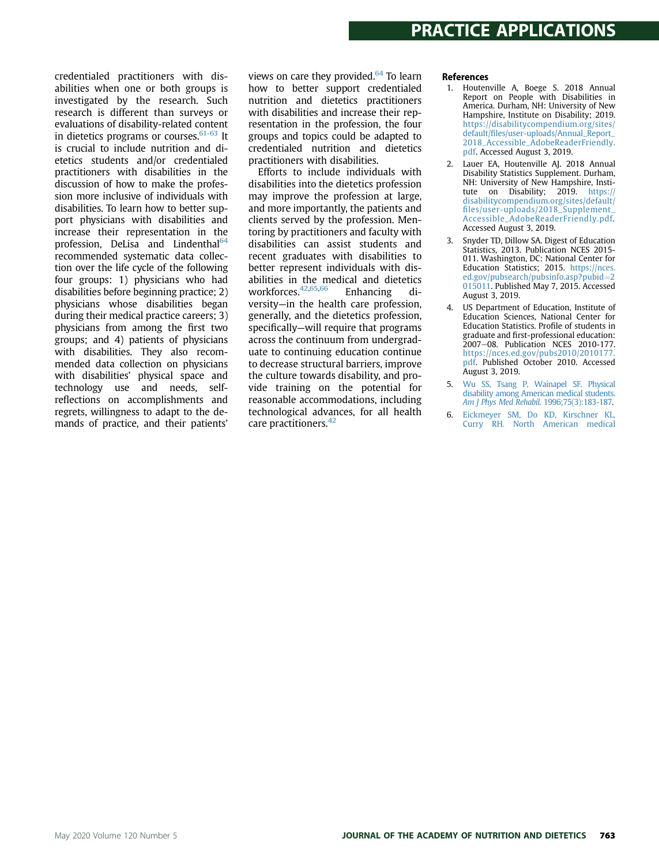credentialed practitioners with disabilities when one or both groups is investigated by the research. Such research is different than surveys or evaluations of disability-related content in dietetics programs or courses. $61-63$  It is crucial to include nutrition and dietetics students and/or credentialed practitioners with disabilities in the discussion of how to make the profession more inclusive of individuals with disabilities. To learn how to better support physicians with disabilities and increase their representation in the profession, DeLisa and Lindenthal<sup>64</sup> recommended systematic data collection over the life cycle of the following four groups: 1) physicians who had disabilities before beginning practice; 2) physicians whose disabilities began during their medical practice careers; 3) physicians from among the first two groups; and 4) patients of physicians with disabilities. They also recommended data collection on physicians with disabilities' physical space and technology use and needs, selfreflections on accomplishments and regrets, willingness to adapt to the demands of practice, and their patients'

views on care they provided. $64$  To learn how to better support credentialed nutrition and dietetics practitioners with disabilities and increase their representation in the profession, the four groups and topics could be adapted to credentialed nutrition and dietetics practitioners with disabilities.

Efforts to include individuals with disabilities into the dietetics profession may improve the profession at large, and more importantly, the patients and clients served by the profession. Mentoring by practitioners and faculty with disabilities can assist students and recent graduates with disabilities to better represent individuals with disabilities in the medical and dietetics workforces[.42](#page-8-16),[65](#page-8-26)[,66](#page-8-27) Enhancing diversity—in the health care profession, generally, and the dietetics profession, specifically—will require that programs across the continuum from undergraduate to continuing education continue to decrease structural barriers, improve the culture towards disability, and provide training on the potential for reasonable accommodations, including technological advances, for all health care practitioners.<sup>[42](#page-8-16)</sup>

#### References

- <span id="page-6-0"></span>1. Houtenville A, Boege S. 2018 Annual Report on People with Disabilities in America. Durham, NH: University of New Hampshire, Institute on Disability; 2019. [https://disabilitycompendium.org/sites/](https://disabilitycompendium.org/sites/default/files/user-uploads/Annual_Report_2018_Accessible_AdobeReaderFriendly.pdf) default/fi[les/user-uploads/Annual\\_Report\\_](https://disabilitycompendium.org/sites/default/files/user-uploads/Annual_Report_2018_Accessible_AdobeReaderFriendly.pdf) [2018\\_Accessible\\_AdobeReaderFriendly.](https://disabilitycompendium.org/sites/default/files/user-uploads/Annual_Report_2018_Accessible_AdobeReaderFriendly.pdf) [pdf.](https://disabilitycompendium.org/sites/default/files/user-uploads/Annual_Report_2018_Accessible_AdobeReaderFriendly.pdf) Accessed August 3, 2019.
- <span id="page-6-1"></span>Lauer EA, Houtenville AJ. 2018 Annual Disability Statistics Supplement. Durham, NH: University of New Hampshire, Institute on Disability; 2019. [https://](https://disabilitycompendium.org/sites/default/files/user-uploads/2018_Supplement_Accessible_AdobeReaderFriendly.pdf) [disabilitycompendium.org/sites/default/](https://disabilitycompendium.org/sites/default/files/user-uploads/2018_Supplement_Accessible_AdobeReaderFriendly.pdf) fi[les/user-uploads/2018\\_Supplement\\_](https://disabilitycompendium.org/sites/default/files/user-uploads/2018_Supplement_Accessible_AdobeReaderFriendly.pdf) [Accessible\\_AdobeReaderFriendly.pdf.](https://disabilitycompendium.org/sites/default/files/user-uploads/2018_Supplement_Accessible_AdobeReaderFriendly.pdf) Accessed August 3, 2019.
- <span id="page-6-2"></span>3. Snyder TD, Dillow SA. Digest of Education Statistics, 2013. Publication NCES 2015- 011. Washington, DC: National Center for Education Statistics; 2015. [https://nces.](https://nces.ed.gov/pubsearch/pubsinfo.asp?pubid=2015011) [ed.gov/pubsearch/pubsinfo.asp?pubid](https://nces.ed.gov/pubsearch/pubsinfo.asp?pubid=2015011)=[2](https://nces.ed.gov/pubsearch/pubsinfo.asp?pubid=2015011) [015011](https://nces.ed.gov/pubsearch/pubsinfo.asp?pubid=2015011). Published May 7, 2015. Accessed August 3, 2019.
- <span id="page-6-3"></span>4. US Department of Education, Institute of Education Sciences, National Center for Education Statistics. Profile of students in graduate and first-professional education: 2007-08. Publication NCES 2010-177. [https://nces.ed.gov/pubs2010/2010177.](https://nces.ed.gov/pubs2010/2010177.pdf) [pdf.](https://nces.ed.gov/pubs2010/2010177.pdf) Published October 2010. Accessed August 3, 2019.
- <span id="page-6-4"></span>5. [Wu SS, Tsang P, Wainapel SF. Physical](http://refhub.elsevier.com/S2212-2672(19)31549-7/sref5) [disability among American medical students.](http://refhub.elsevier.com/S2212-2672(19)31549-7/sref5) [Am J Phys Med Rehabil](http://refhub.elsevier.com/S2212-2672(19)31549-7/sref5). 1996;75(3):183-187.
- <span id="page-6-5"></span>6. [Eickmeyer SM, Do KD, Kirschner KL,](http://refhub.elsevier.com/S2212-2672(19)31549-7/sref6) [Curry RH. North American medical](http://refhub.elsevier.com/S2212-2672(19)31549-7/sref6)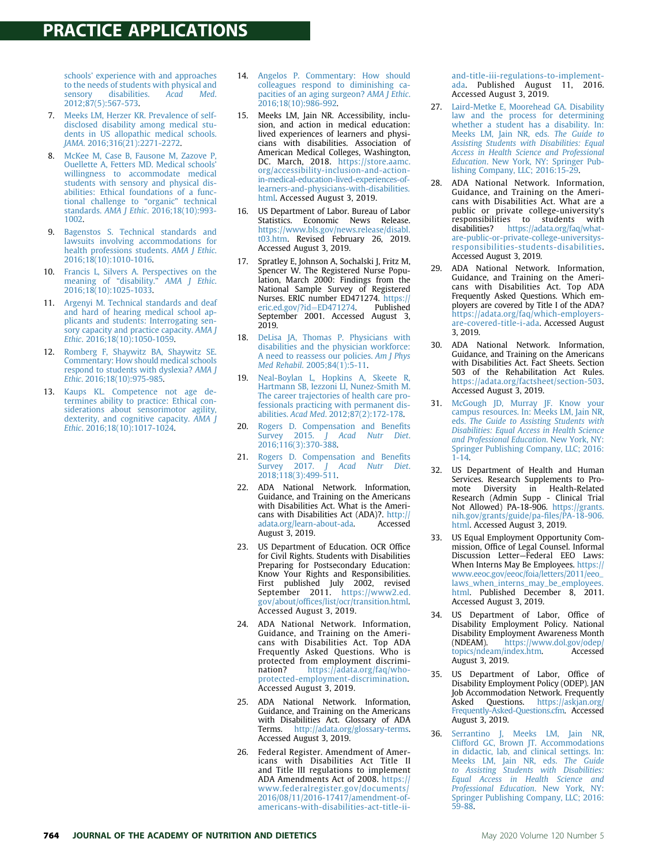schools' [experience with and approaches](http://refhub.elsevier.com/S2212-2672(19)31549-7/sref6) [to the needs of students with physical and](http://refhub.elsevier.com/S2212-2672(19)31549-7/sref6)<br>sensory disabilities. Acad Med. [sensory disabilities.](http://refhub.elsevier.com/S2212-2672(19)31549-7/sref6) [2012;87\(5\):567-573.](http://refhub.elsevier.com/S2212-2672(19)31549-7/sref6)

- <span id="page-7-0"></span>7. [Meeks LM, Herzer KR. Prevalence of self](http://refhub.elsevier.com/S2212-2672(19)31549-7/sref7)[disclosed disability among medical stu](http://refhub.elsevier.com/S2212-2672(19)31549-7/sref7)[dents in US allopathic medical schools.](http://refhub.elsevier.com/S2212-2672(19)31549-7/sref7) JAMA[. 2016;316\(21\):2271-2272](http://refhub.elsevier.com/S2212-2672(19)31549-7/sref7).
- <span id="page-7-1"></span>8. [McKee M, Case B, Fausone M, Zazove P,](http://refhub.elsevier.com/S2212-2672(19)31549-7/sref8) [Ouellette A, Fetters MD. Medical schools](http://refhub.elsevier.com/S2212-2672(19)31549-7/sref8)' [willingness to accommodate medical](http://refhub.elsevier.com/S2212-2672(19)31549-7/sref8) [students with sensory and physical dis](http://refhub.elsevier.com/S2212-2672(19)31549-7/sref8)[abilities: Ethical foundations of a func-](http://refhub.elsevier.com/S2212-2672(19)31549-7/sref8)[tional challenge to](http://refhub.elsevier.com/S2212-2672(19)31549-7/sref8) "organic" technical standards. AMA J Ethic[. 2016;18\(10\):993-](http://refhub.elsevier.com/S2212-2672(19)31549-7/sref8) [1002](http://refhub.elsevier.com/S2212-2672(19)31549-7/sref8).
- <span id="page-7-2"></span>9. [Bagenstos S. Technical standards and](http://refhub.elsevier.com/S2212-2672(19)31549-7/sref9) [lawsuits involving accommodations for](http://refhub.elsevier.com/S2212-2672(19)31549-7/sref9) [health professions students.](http://refhub.elsevier.com/S2212-2672(19)31549-7/sref9) AMA J Ethic. [2016;18\(10\):1010-1016.](http://refhub.elsevier.com/S2212-2672(19)31549-7/sref9)
- <span id="page-7-3"></span>10. [Francis L, Silvers A. Perspectives on the](http://refhub.elsevier.com/S2212-2672(19)31549-7/sref10) meaning of "disability." [AMA J Ethic](http://refhub.elsevier.com/S2212-2672(19)31549-7/sref10). [2016;18\(10\):1025-1033.](http://refhub.elsevier.com/S2212-2672(19)31549-7/sref10)
- <span id="page-7-4"></span>11. [Argenyi M. Technical standards and deaf](http://refhub.elsevier.com/S2212-2672(19)31549-7/sref11) [and hard of hearing medical school ap](http://refhub.elsevier.com/S2212-2672(19)31549-7/sref11)[plicants and students: Interrogating sen](http://refhub.elsevier.com/S2212-2672(19)31549-7/sref11)[sory capacity and practice capacity.](http://refhub.elsevier.com/S2212-2672(19)31549-7/sref11) AMA J Ethic[. 2016;18\(10\):1050-1059.](http://refhub.elsevier.com/S2212-2672(19)31549-7/sref11)
- <span id="page-7-5"></span>12. [Romberg F, Shaywitz BA, Shaywitz SE.](http://refhub.elsevier.com/S2212-2672(19)31549-7/sref12) [Commentary: How should medical schools](http://refhub.elsevier.com/S2212-2672(19)31549-7/sref12) [respond to students with dyslexia?](http://refhub.elsevier.com/S2212-2672(19)31549-7/sref12) AMA J Ethic[. 2016;18\(10\):975-985](http://refhub.elsevier.com/S2212-2672(19)31549-7/sref12).
- <span id="page-7-6"></span>13. [Kaups KL. Competence not age de](http://refhub.elsevier.com/S2212-2672(19)31549-7/sref13)[termines ability to practice: Ethical con](http://refhub.elsevier.com/S2212-2672(19)31549-7/sref13)[siderations about sensorimotor agility,](http://refhub.elsevier.com/S2212-2672(19)31549-7/sref13) [dexterity, and cognitive capacity.](http://refhub.elsevier.com/S2212-2672(19)31549-7/sref13) AMA J Ethic[. 2016;18\(10\):1017-1024.](http://refhub.elsevier.com/S2212-2672(19)31549-7/sref13)
- <span id="page-7-7"></span>14. [Angelos P. Commentary: How should](http://refhub.elsevier.com/S2212-2672(19)31549-7/sref14) [colleagues respond to diminishing ca](http://refhub.elsevier.com/S2212-2672(19)31549-7/sref14)[pacities of an aging surgeon?](http://refhub.elsevier.com/S2212-2672(19)31549-7/sref14) AMA J Ethic. [2016;18\(10\):986-992](http://refhub.elsevier.com/S2212-2672(19)31549-7/sref14).
- <span id="page-7-8"></span>15. Meeks LM, Jain NR. Accessibility, inclusion, and action in medical education: lived experiences of learners and physicians with disabilities. Association of American Medical Colleges, Washington, DC. March, 2018. [https://store.aamc.](https://store.aamc.org/accessibility-inclusion-and-action-in-medical-education-lived-experiences-of-learners-and-physicians-with-disabilities.html) [org/accessibility-inclusion-and-action](https://store.aamc.org/accessibility-inclusion-and-action-in-medical-education-lived-experiences-of-learners-and-physicians-with-disabilities.html)[in-medical-education-lived-experiences-of](https://store.aamc.org/accessibility-inclusion-and-action-in-medical-education-lived-experiences-of-learners-and-physicians-with-disabilities.html)[learners-and-physicians-with-disabilities.](https://store.aamc.org/accessibility-inclusion-and-action-in-medical-education-lived-experiences-of-learners-and-physicians-with-disabilities.html) [html.](https://store.aamc.org/accessibility-inclusion-and-action-in-medical-education-lived-experiences-of-learners-and-physicians-with-disabilities.html) Accessed August 3, 2019.
- <span id="page-7-9"></span>16. US Department of Labor. Bureau of Labor Statistics. Economic News Release. [https://www.bls.gov/news.release/disabl.](https://www.bls.gov/news.release/disabl.t03.htm) [t03.htm](https://www.bls.gov/news.release/disabl.t03.htm). Revised February 26, 2019. Accessed August 3, 2019.
- <span id="page-7-10"></span>17. Spratley E, Johnson A, Sochalski J, Fritz M, Spencer W. The Registered Nurse Population, March 2000: Findings from the National Sample Survey of Registered Nurses. ERIC number ED471274. [https://](https://eric.ed.gov/?id=ED471274) [eric.ed.gov/?id](https://eric.ed.gov/?id=ED471274)=[ED471274](https://eric.ed.gov/?id=ED471274). Published September 2001. Accessed August 3, 2019.
- <span id="page-7-11"></span>18. [DeLisa JA, Thomas P. Physicians with](http://refhub.elsevier.com/S2212-2672(19)31549-7/sref18) [disabilities and the physician workforce:](http://refhub.elsevier.com/S2212-2672(19)31549-7/sref18) [A need to reassess our policies.](http://refhub.elsevier.com/S2212-2672(19)31549-7/sref18) Am J Phys Med Rehabil[. 2005;84\(1\):5-11.](http://refhub.elsevier.com/S2212-2672(19)31549-7/sref18)
- <span id="page-7-12"></span>19. [Neal-Boylan L, Hopkins A, Skeete R,](http://refhub.elsevier.com/S2212-2672(19)31549-7/sref19) [Hartmann SB, Iezzoni LI, Nunez-Smith M.](http://refhub.elsevier.com/S2212-2672(19)31549-7/sref19) [The career trajectories of health care pro](http://refhub.elsevier.com/S2212-2672(19)31549-7/sref19)[fessionals practicing with permanent dis](http://refhub.elsevier.com/S2212-2672(19)31549-7/sref19)abilities. Acad Med[. 2012;87\(2\):172-178](http://refhub.elsevier.com/S2212-2672(19)31549-7/sref19).
- <span id="page-7-13"></span>20. [Rogers D. Compensation and Bene](http://refhub.elsevier.com/S2212-2672(19)31549-7/sref20)fits Survey 2015. *[J Acad Nutr Diet](http://refhub.elsevier.com/S2212-2672(19)31549-7/sref20).* [2016;116\(3\):370-388](http://refhub.elsevier.com/S2212-2672(19)31549-7/sref20).
- <span id="page-7-14"></span>21. [Rogers D. Compensation and Bene](http://refhub.elsevier.com/S2212-2672(19)31549-7/sref21)fits<br>Survey 2017. J Acad Nutr Diet. Survey 2017. [J Acad Nutr Diet](http://refhub.elsevier.com/S2212-2672(19)31549-7/sref21). [2018;118\(3\):499-511](http://refhub.elsevier.com/S2212-2672(19)31549-7/sref21).
- <span id="page-7-15"></span>22. ADA National Network. Information, Guidance, and Training on the Americans with Disabilities Act. What is the Americans with Disabilities Act (ADA)?. [http://](http://adata.org/learn-about-ada) [adata.org/learn-about-ada.](http://adata.org/learn-about-ada) Accessed August 3, 2019.
- 23. US Department of Education. OCR Office for Civil Rights. Students with Disabilities Preparing for Postsecondary Education: Know Your Rights and Responsibilities. First published July 2002, revised September 2011. [https://www2.ed.](https://www2.ed.gov/about/offices/list/ocr/transition.html) gov/about/offi[ces/list/ocr/transition.html.](https://www2.ed.gov/about/offices/list/ocr/transition.html) Accessed August 3, 2019.
- 24. ADA National Network. Information, Guidance, and Training on the Americans with Disabilities Act. Top ADA Frequently Asked Questions. Who is protected from employment discrimination? [https://adata.org/faq/who](https://adata.org/faq/who-protected-employment-discrimination)[protected-employment-discrimination.](https://adata.org/faq/who-protected-employment-discrimination) Accessed August 3, 2019.
- <span id="page-7-16"></span>25. ADA National Network. Information, Guidance, and Training on the Americans with Disabilities Act. Glossary of ADA Terms. <http://adata.org/glossary-terms>. Accessed August 3, 2019.
- <span id="page-7-17"></span>Federal Register. Amendment of Americans with Disabilities Act Title II and Title III regulations to implement ADA Amendments Act of 2008. [https://](https://www.federalregister.gov/documents/2016/08/11/2016-17417/amendment-of-americans-with-disabilities-act-title-ii-and-title-iii-regulations-to-implement-ada) [www.federalregister.gov/documents/](https://www.federalregister.gov/documents/2016/08/11/2016-17417/amendment-of-americans-with-disabilities-act-title-ii-and-title-iii-regulations-to-implement-ada) [2016/08/11/2016-17417/amendment-of](https://www.federalregister.gov/documents/2016/08/11/2016-17417/amendment-of-americans-with-disabilities-act-title-ii-and-title-iii-regulations-to-implement-ada)[americans-with-disabilities-act-title-ii-](https://www.federalregister.gov/documents/2016/08/11/2016-17417/amendment-of-americans-with-disabilities-act-title-ii-and-title-iii-regulations-to-implement-ada)

[and-title-iii-regulations-to-implement](https://www.federalregister.gov/documents/2016/08/11/2016-17417/amendment-of-americans-with-disabilities-act-title-ii-and-title-iii-regulations-to-implement-ada)[ada.](https://www.federalregister.gov/documents/2016/08/11/2016-17417/amendment-of-americans-with-disabilities-act-title-ii-and-title-iii-regulations-to-implement-ada) Published August 11, 2016. Accessed August 3, 2019.

- <span id="page-7-18"></span>27. [Laird-Metke E, Moorehead GA. Disability](http://refhub.elsevier.com/S2212-2672(19)31549-7/sref27) [law and the process for determining](http://refhub.elsevier.com/S2212-2672(19)31549-7/sref27) [whether a student has a disability. In:](http://refhub.elsevier.com/S2212-2672(19)31549-7/sref27) [Meeks LM, Jain NR, eds.](http://refhub.elsevier.com/S2212-2672(19)31549-7/sref27) The Guide to [Assisting Students with Disabilities: Equal](http://refhub.elsevier.com/S2212-2672(19)31549-7/sref27) [Access in Health Science and Professional](http://refhub.elsevier.com/S2212-2672(19)31549-7/sref27) Education[. New York, NY: Springer Pub-](http://refhub.elsevier.com/S2212-2672(19)31549-7/sref27)[lishing Company, LLC; 2016:15-29.](http://refhub.elsevier.com/S2212-2672(19)31549-7/sref27)
- <span id="page-7-19"></span>28. ADA National Network. Information, Guidance, and Training on the Americans with Disabilities Act. What are a public or private college-university's responsibilities to students with disabilities? [https://adata.org/faq/what](https://adata.org/faq/what-are-public-or-private-college-universitys-responsibilities-students-disabilities)[are-public-or-private-college-universitys](https://adata.org/faq/what-are-public-or-private-college-universitys-responsibilities-students-disabilities)[responsibilities-students-disabilities](https://adata.org/faq/what-are-public-or-private-college-universitys-responsibilities-students-disabilities). Accessed August 3, 2019.
- <span id="page-7-20"></span>29. ADA National Network. Information, Guidance, and Training on the Americans with Disabilities Act. Top ADA Frequently Asked Questions. Which employers are covered by Title I of the ADA? [https://adata.org/faq/which-employers](https://adata.org/faq/which-employers-are-covered-title-i-ada)[are-covered-title-i-ada.](https://adata.org/faq/which-employers-are-covered-title-i-ada) Accessed August 3, 2019.
- <span id="page-7-21"></span>30. ADA National Network. Information, Guidance, and Training on the Americans with Disabilities Act. Fact Sheets. Section 503 of the Rehabilitation Act Rules. <https://adata.org/factsheet/section-503>. Accessed August 3, 2019.
- <span id="page-7-22"></span>31. [McGough JD, Murray JF. Know your](http://refhub.elsevier.com/S2212-2672(19)31549-7/sref31) [campus resources. In: Meeks LM, Jain NR,](http://refhub.elsevier.com/S2212-2672(19)31549-7/sref31) eds. [The Guide to Assisting Students with](http://refhub.elsevier.com/S2212-2672(19)31549-7/sref31) [Disabilities: Equal Access in Health Science](http://refhub.elsevier.com/S2212-2672(19)31549-7/sref31) [and Professional Education](http://refhub.elsevier.com/S2212-2672(19)31549-7/sref31). New York, NY: [Springer Publishing Company, LLC; 2016:](http://refhub.elsevier.com/S2212-2672(19)31549-7/sref31) [1-14.](http://refhub.elsevier.com/S2212-2672(19)31549-7/sref31)
- <span id="page-7-23"></span>32. US Department of Health and Human Services. Research Supplements to Promote Diversity in Health-Related Research (Admin Supp - Clinical Trial Not Allowed) PA-18-906. [https://grants.](https://grants.nih.gov/grants/guide/pa-files/PA-18-906.html) [nih.gov/grants/guide/pa-](https://grants.nih.gov/grants/guide/pa-files/PA-18-906.html)files/PA-18-906. [html](https://grants.nih.gov/grants/guide/pa-files/PA-18-906.html). Accessed August 3, 2019.
- <span id="page-7-24"></span>33. US Equal Employment Opportunity Commission, Office of Legal Counsel. Informal Discussion Letter—Federal EEO Laws: When Interns May Be Employees. [https://](https://www.eeoc.gov/eeoc/foia/letters/2011/eeo_laws_when_interns_may_be_employees.html) [www.eeoc.gov/eeoc/foia/letters/2011/eeo\\_](https://www.eeoc.gov/eeoc/foia/letters/2011/eeo_laws_when_interns_may_be_employees.html) [laws\\_when\\_interns\\_may\\_be\\_employees.](https://www.eeoc.gov/eeoc/foia/letters/2011/eeo_laws_when_interns_may_be_employees.html) [html](https://www.eeoc.gov/eeoc/foia/letters/2011/eeo_laws_when_interns_may_be_employees.html). Published December 8, 2011. Accessed August 3, 2019.
- <span id="page-7-25"></span>34. US Department of Labor, Office of Disability Employment Policy. National Disability Employment Awareness Month (NDEAM). [https://www.dol.gov/odep/](https://www.dol.gov/odep/topics/ndeam/index.htm)<br>topics/ndeam/index.htm. Accessed [topics/ndeam/index.htm](https://www.dol.gov/odep/topics/ndeam/index.htm). August 3, 2019.
- <span id="page-7-26"></span>35. US Department of Labor, Office of Disability Employment Policy (ODEP). JAN Job Accommodation Network. Frequently Asked Questions. [https://askjan.org/](https://askjan.org/Frequently-Asked-Questions.cfm) [Frequently-Asked-Questions.cfm](https://askjan.org/Frequently-Asked-Questions.cfm). Accessed August 3, 2019.
- <span id="page-7-27"></span>36. [Serrantino J, Meeks LM, Jain NR,](http://refhub.elsevier.com/S2212-2672(19)31549-7/sref36) [Clifford GC, Brown JT. Accommodations](http://refhub.elsevier.com/S2212-2672(19)31549-7/sref36) [in didactic, lab, and clinical settings. In:](http://refhub.elsevier.com/S2212-2672(19)31549-7/sref36)<br>Meeks I.M. Jain NR. eds. The Guide [Meeks LM, Jain NR, eds.](http://refhub.elsevier.com/S2212-2672(19)31549-7/sref36) The [to Assisting Students with Disabilities:](http://refhub.elsevier.com/S2212-2672(19)31549-7/sref36) [Equal Access in Health Science and](http://refhub.elsevier.com/S2212-2672(19)31549-7/sref36) [Professional Education](http://refhub.elsevier.com/S2212-2672(19)31549-7/sref36). New York, NY: [Springer Publishing Company, LLC; 2016:](http://refhub.elsevier.com/S2212-2672(19)31549-7/sref36) [59-88.](http://refhub.elsevier.com/S2212-2672(19)31549-7/sref36)